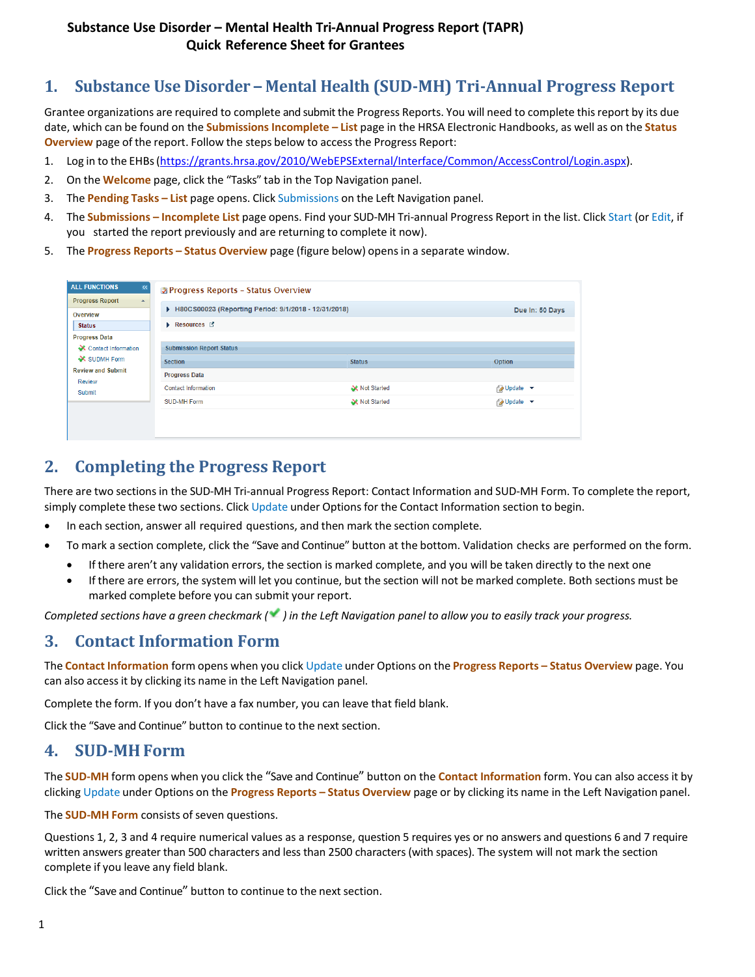# **1. Substance Use Disorder – Mental Health (SUD-MH) Tri-Annual Progress Report**

Grantee organizations are required to complete and submit the Progress Reports. You will need to complete thisreport by its due date, which can be found on the **Submissions Incomplete – List** page in the HRSA Electronic Handbooks, as well as on the **Status Overview** page of the report. Follow the steps below to access the Progress Report:

- 1. Log in to the EHBs[\(https://grants.hrsa.gov/2010/WebEPSExternal/Interface/Common/AccessControl/Login.aspx\)](https://grants.hrsa.gov/2010/WebEPSExternal/Interface/Common/AccessControl/Login.aspx).
- 2. On the **Welcome** page, click the "Tasks" tab in the Top Navigation panel.
- 3. The **Pending Tasks – List** page opens. Click Submissions on the Left Navigation panel.
- 4. The **Submissions – Incomplete List** page opens. Find your SUD-MH Tri-annual Progress Report in the list. Click Start (or Edit, if you started the report previously and are returning to complete it now).
- 5. The **Progress Reports – Status Overview** page (figure [below\)](#page-0-0) opensin a separate window.

<span id="page-0-0"></span>

| <b>ALL FUNCTIONS</b><br>$\ll$<br><b>Progress Report</b><br>$\blacktriangle$                                               | <b>B</b> Progress Reports - Status Overview          |               |                   |
|---------------------------------------------------------------------------------------------------------------------------|------------------------------------------------------|---------------|-------------------|
| Overview                                                                                                                  | H80CS00023 (Reporting Period: 9/1/2018 - 12/31/2018) |               | Due In: 50 Days   |
| <b>Status</b>                                                                                                             | $\blacktriangleright$ Resources $\square$            |               |                   |
| <b>Progress Data</b><br>Contact Information<br><b>X</b> SUDMH Form<br><b>Review and Submit</b><br><b>Review</b><br>Submit | <b>Submission Report Status</b>                      |               |                   |
|                                                                                                                           | <b>Section</b>                                       | <b>Status</b> | Option            |
|                                                                                                                           | <b>Progress Data</b>                                 |               |                   |
|                                                                                                                           | <b>Contact Information</b>                           | Not Started   | <b>D</b> Update ▼ |
|                                                                                                                           | <b>SUD-MH Form</b>                                   | Not Started   | JUpdate <b>v</b>  |
|                                                                                                                           |                                                      |               |                   |
|                                                                                                                           |                                                      |               |                   |

### **2. Completing the Progress Report**

There are two sectionsin the SUD-MH Tri-annual Progress Report: Contact Information and SUD-MH Form. To complete the report, simply complete these two sections. Click Update under Options for the Contact Information section to begin.

- In each section, answer all required questions, and then mark the section complete.
- To mark a section complete, click the "Save and Continue" button at the bottom. Validation checks are performed on the form.
	- If there aren't any validation errors, the section is marked complete, and you will be taken directly to the next one
	- If there are errors, the system will let you continue, but the section will not be marked complete. Both sections must be marked complete before you can submit your report.

Completed sections have a green checkmark  $($ ) in the Left Navigation panel to allow you to easily track your progress.

### **3. Contact Information Form**

The **Contact Information** form opens when you click Update under Options on the **Progress Reports – Status Overview** page. You can also access it by clicking its name in the Left Navigation panel.

Complete the form. If you don't have a fax number, you can leave that field blank.

Click the "Save and Continue" button to continue to the next section.

#### **4. SUD-MH Form**

The **SUD-MH** form opens when you click the "Save and Continue" button on the **Contact Information** form. You can also access it by clicking Update under Options on the **Progress Reports – Status Overview** page or by clicking its name in the Left Navigation panel.

The **SUD-MH Form** consists of seven questions.

Questions 1, 2, 3 and 4 require numerical values as a response, question 5 requires yes or no answers and questions 6 and 7 require written answers greater than 500 characters and less than 2500 characters (with spaces). The system will not mark the section complete if you leave any field blank.

Click the "Save and Continue" button to continue to the next section.